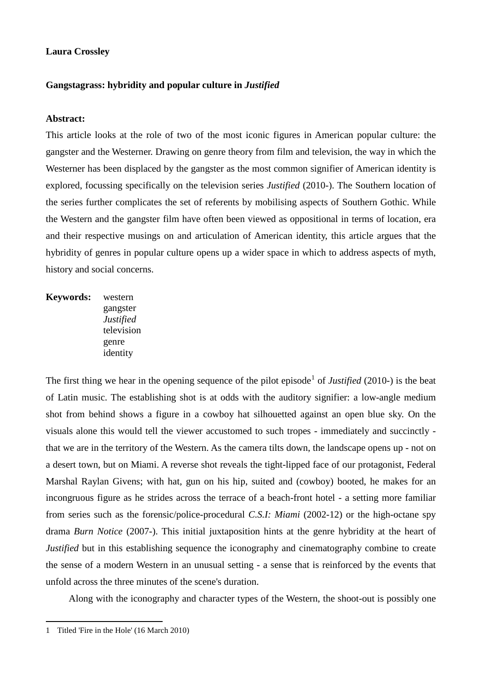# **Laura Crossley**

# **Gangstagrass: hybridity and popular culture in** *Justified*

### **Abstract:**

This article looks at the role of two of the most iconic figures in American popular culture: the gangster and the Westerner. Drawing on genre theory from film and television, the way in which the Westerner has been displaced by the gangster as the most common signifier of American identity is explored, focussing specifically on the television series *Justified* (2010-). The Southern location of the series further complicates the set of referents by mobilising aspects of Southern Gothic. While the Western and the gangster film have often been viewed as oppositional in terms of location, era and their respective musings on and articulation of American identity, this article argues that the hybridity of genres in popular culture opens up a wider space in which to address aspects of myth, history and social concerns.

**Keywords:** western gangster *Justified* television genre identity

The first thing we hear in the opening sequence of the pilot episode<sup>[1](#page-0-0)</sup> of *Justified* (2010-) is the beat of Latin music. The establishing shot is at odds with the auditory signifier: a low-angle medium shot from behind shows a figure in a cowboy hat silhouetted against an open blue sky. On the visuals alone this would tell the viewer accustomed to such tropes - immediately and succinctly that we are in the territory of the Western. As the camera tilts down, the landscape opens up - not on a desert town, but on Miami. A reverse shot reveals the tight-lipped face of our protagonist, Federal Marshal Raylan Givens; with hat, gun on his hip, suited and (cowboy) booted, he makes for an incongruous figure as he strides across the terrace of a beach-front hotel - a setting more familiar from series such as the forensic/police-procedural *C.S.I: Miami* (2002-12) or the high-octane spy drama *Burn Notice* (2007-). This initial juxtaposition hints at the genre hybridity at the heart of *Justified* but in this establishing sequence the iconography and cinematography combine to create the sense of a modern Western in an unusual setting - a sense that is reinforced by the events that unfold across the three minutes of the scene's duration.

Along with the iconography and character types of the Western, the shoot-out is possibly one

<span id="page-0-0"></span><sup>1</sup> Titled 'Fire in the Hole' (16 March 2010)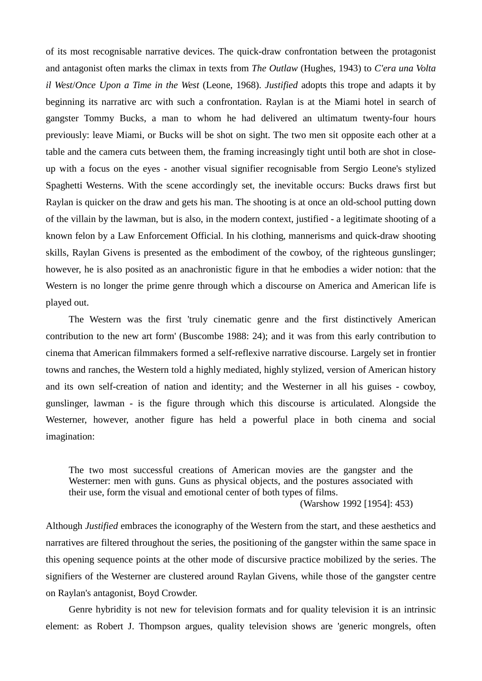of its most recognisable narrative devices. The quick-draw confrontation between the protagonist and antagonist often marks the climax in texts from *The Outlaw* (Hughes, 1943) to *C'era una Volta il West*/*Once Upon a Time in the West* (Leone, 1968). *Justified* adopts this trope and adapts it by beginning its narrative arc with such a confrontation. Raylan is at the Miami hotel in search of gangster Tommy Bucks, a man to whom he had delivered an ultimatum twenty-four hours previously: leave Miami, or Bucks will be shot on sight. The two men sit opposite each other at a table and the camera cuts between them, the framing increasingly tight until both are shot in closeup with a focus on the eyes - another visual signifier recognisable from Sergio Leone's stylized Spaghetti Westerns. With the scene accordingly set, the inevitable occurs: Bucks draws first but Raylan is quicker on the draw and gets his man. The shooting is at once an old-school putting down of the villain by the lawman, but is also, in the modern context, justified - a legitimate shooting of a known felon by a Law Enforcement Official. In his clothing, mannerisms and quick-draw shooting skills, Raylan Givens is presented as the embodiment of the cowboy, of the righteous gunslinger; however, he is also posited as an anachronistic figure in that he embodies a wider notion: that the Western is no longer the prime genre through which a discourse on America and American life is played out.

The Western was the first 'truly cinematic genre and the first distinctively American contribution to the new art form' (Buscombe 1988: 24); and it was from this early contribution to cinema that American filmmakers formed a self-reflexive narrative discourse. Largely set in frontier towns and ranches, the Western told a highly mediated, highly stylized, version of American history and its own self-creation of nation and identity; and the Westerner in all his guises - cowboy, gunslinger, lawman - is the figure through which this discourse is articulated. Alongside the Westerner, however, another figure has held a powerful place in both cinema and social imagination:

The two most successful creations of American movies are the gangster and the Westerner: men with guns. Guns as physical objects, and the postures associated with their use, form the visual and emotional center of both types of films. (Warshow 1992 [1954]: 453)

Although *Justified* embraces the iconography of the Western from the start, and these aesthetics and narratives are filtered throughout the series, the positioning of the gangster within the same space in this opening sequence points at the other mode of discursive practice mobilized by the series. The signifiers of the Westerner are clustered around Raylan Givens, while those of the gangster centre on Raylan's antagonist, Boyd Crowder.

Genre hybridity is not new for television formats and for quality television it is an intrinsic element: as Robert J. Thompson argues, quality television shows are 'generic mongrels, often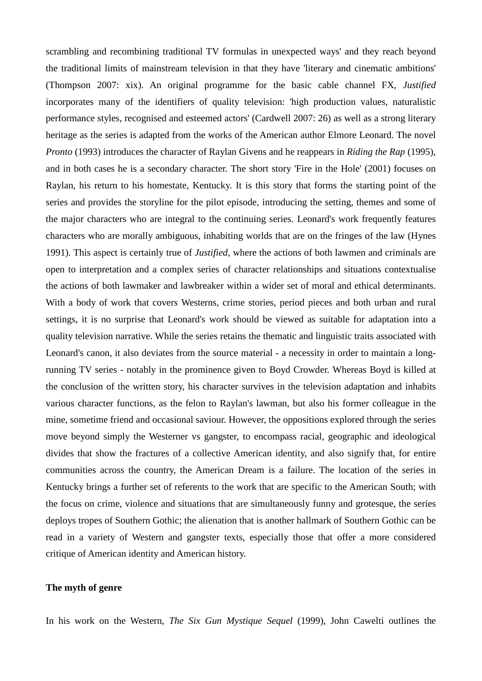scrambling and recombining traditional TV formulas in unexpected ways' and they reach beyond the traditional limits of mainstream television in that they have 'literary and cinematic ambitions' (Thompson 2007: xix). An original programme for the basic cable channel FX, *Justified*  incorporates many of the identifiers of quality television: 'high production values, naturalistic performance styles, recognised and esteemed actors' (Cardwell 2007: 26) as well as a strong literary heritage as the series is adapted from the works of the American author Elmore Leonard. The novel *Pronto* (1993) introduces the character of Raylan Givens and he reappears in *Riding the Rap* (1995), and in both cases he is a secondary character. The short story 'Fire in the Hole' (2001) focuses on Raylan, his return to his homestate, Kentucky. It is this story that forms the starting point of the series and provides the storyline for the pilot episode, introducing the setting, themes and some of the major characters who are integral to the continuing series. Leonard's work frequently features characters who are morally ambiguous, inhabiting worlds that are on the fringes of the law (Hynes 1991). This aspect is certainly true of *Justified*, where the actions of both lawmen and criminals are open to interpretation and a complex series of character relationships and situations contextualise the actions of both lawmaker and lawbreaker within a wider set of moral and ethical determinants. With a body of work that covers Westerns, crime stories, period pieces and both urban and rural settings, it is no surprise that Leonard's work should be viewed as suitable for adaptation into a quality television narrative. While the series retains the thematic and linguistic traits associated with Leonard's canon, it also deviates from the source material - a necessity in order to maintain a longrunning TV series - notably in the prominence given to Boyd Crowder. Whereas Boyd is killed at the conclusion of the written story, his character survives in the television adaptation and inhabits various character functions, as the felon to Raylan's lawman, but also his former colleague in the mine, sometime friend and occasional saviour. However, the oppositions explored through the series move beyond simply the Westerner vs gangster, to encompass racial, geographic and ideological divides that show the fractures of a collective American identity, and also signify that, for entire communities across the country, the American Dream is a failure. The location of the series in Kentucky brings a further set of referents to the work that are specific to the American South; with the focus on crime, violence and situations that are simultaneously funny and grotesque, the series deploys tropes of Southern Gothic; the alienation that is another hallmark of Southern Gothic can be read in a variety of Western and gangster texts, especially those that offer a more considered critique of American identity and American history.

### **The myth of genre**

In his work on the Western, *The Six Gun Mystique Sequel* (1999), John Cawelti outlines the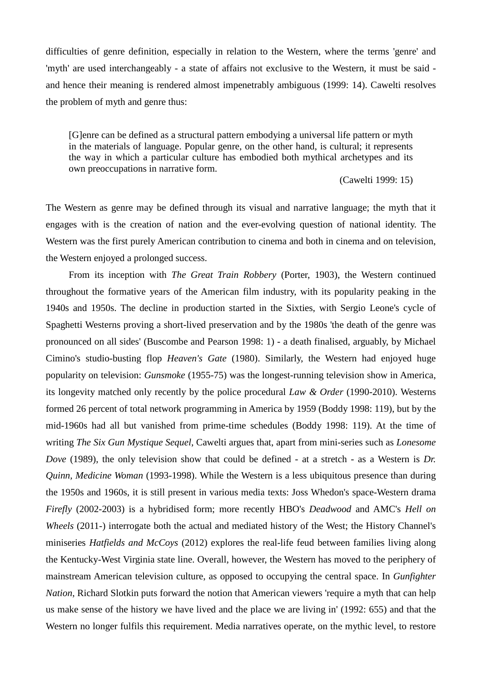difficulties of genre definition, especially in relation to the Western, where the terms 'genre' and 'myth' are used interchangeably - a state of affairs not exclusive to the Western, it must be said and hence their meaning is rendered almost impenetrably ambiguous (1999: 14). Cawelti resolves the problem of myth and genre thus:

[G]enre can be defined as a structural pattern embodying a universal life pattern or myth in the materials of language. Popular genre, on the other hand, is cultural; it represents the way in which a particular culture has embodied both mythical archetypes and its own preoccupations in narrative form.

(Cawelti 1999: 15)

The Western as genre may be defined through its visual and narrative language; the myth that it engages with is the creation of nation and the ever-evolving question of national identity. The Western was the first purely American contribution to cinema and both in cinema and on television, the Western enjoyed a prolonged success.

From its inception with *The Great Train Robbery* (Porter, 1903), the Western continued throughout the formative years of the American film industry, with its popularity peaking in the 1940s and 1950s. The decline in production started in the Sixties, with Sergio Leone's cycle of Spaghetti Westerns proving a short-lived preservation and by the 1980s 'the death of the genre was pronounced on all sides' (Buscombe and Pearson 1998: 1) - a death finalised, arguably, by Michael Cimino's studio-busting flop *Heaven's Gate* (1980). Similarly, the Western had enjoyed huge popularity on television: *Gunsmoke* (1955-75) was the longest-running television show in America, its longevity matched only recently by the police procedural *Law & Order* (1990-2010). Westerns formed 26 percent of total network programming in America by 1959 (Boddy 1998: 119), but by the mid-1960s had all but vanished from prime-time schedules (Boddy 1998: 119). At the time of writing *The Six Gun Mystique Sequel*, Cawelti argues that, apart from mini-series such as *Lonesome Dove* (1989), the only television show that could be defined - at a stretch - as a Western is *Dr. Quinn, Medicine Woman* (1993-1998). While the Western is a less ubiquitous presence than during the 1950s and 1960s, it is still present in various media texts: Joss Whedon's space-Western drama *Firefly* (2002-2003) is a hybridised form; more recently HBO's *Deadwood* and AMC's *Hell on Wheels* (2011-) interrogate both the actual and mediated history of the West; the History Channel's miniseries *Hatfields and McCoys* (2012) explores the real-life feud between families living along the Kentucky-West Virginia state line. Overall, however, the Western has moved to the periphery of mainstream American television culture, as opposed to occupying the central space. In *Gunfighter Nation*, Richard Slotkin puts forward the notion that American viewers 'require a myth that can help us make sense of the history we have lived and the place we are living in' (1992: 655) and that the Western no longer fulfils this requirement. Media narratives operate, on the mythic level, to restore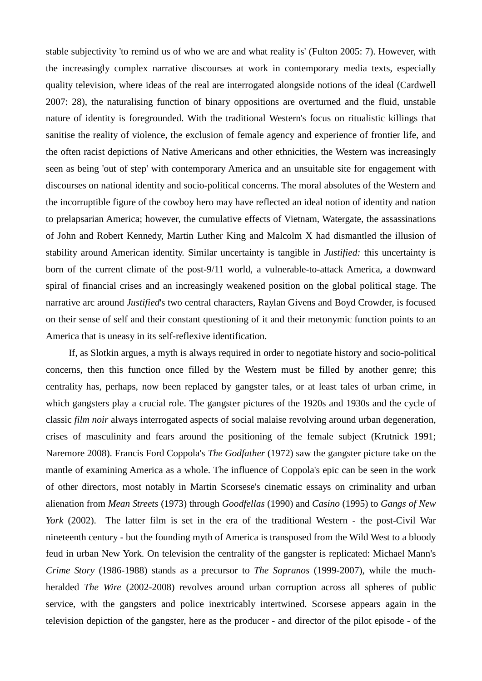stable subjectivity 'to remind us of who we are and what reality is' (Fulton 2005: 7). However, with the increasingly complex narrative discourses at work in contemporary media texts, especially quality television, where ideas of the real are interrogated alongside notions of the ideal (Cardwell 2007: 28), the naturalising function of binary oppositions are overturned and the fluid, unstable nature of identity is foregrounded. With the traditional Western's focus on ritualistic killings that sanitise the reality of violence, the exclusion of female agency and experience of frontier life, and the often racist depictions of Native Americans and other ethnicities, the Western was increasingly seen as being 'out of step' with contemporary America and an unsuitable site for engagement with discourses on national identity and socio-political concerns. The moral absolutes of the Western and the incorruptible figure of the cowboy hero may have reflected an ideal notion of identity and nation to prelapsarian America; however, the cumulative effects of Vietnam, Watergate, the assassinations of John and Robert Kennedy, Martin Luther King and Malcolm X had dismantled the illusion of stability around American identity. Similar uncertainty is tangible in *Justified:* this uncertainty is born of the current climate of the post-9/11 world, a vulnerable-to-attack America, a downward spiral of financial crises and an increasingly weakened position on the global political stage. The narrative arc around *Justified*'s two central characters, Raylan Givens and Boyd Crowder, is focused on their sense of self and their constant questioning of it and their metonymic function points to an America that is uneasy in its self-reflexive identification.

If, as Slotkin argues, a myth is always required in order to negotiate history and socio-political concerns, then this function once filled by the Western must be filled by another genre; this centrality has, perhaps, now been replaced by gangster tales, or at least tales of urban crime, in which gangsters play a crucial role. The gangster pictures of the 1920s and 1930s and the cycle of classic *film noir* always interrogated aspects of social malaise revolving around urban degeneration, crises of masculinity and fears around the positioning of the female subject (Krutnick 1991; Naremore 2008). Francis Ford Coppola's *The Godfather* (1972) saw the gangster picture take on the mantle of examining America as a whole. The influence of Coppola's epic can be seen in the work of other directors, most notably in Martin Scorsese's cinematic essays on criminality and urban alienation from *Mean Streets* (1973) through *Goodfellas* (1990) and *Casino* (1995) to *Gangs of New York* (2002). The latter film is set in the era of the traditional Western - the post-Civil War nineteenth century - but the founding myth of America is transposed from the Wild West to a bloody feud in urban New York. On television the centrality of the gangster is replicated: Michael Mann's *Crime Story* (1986-1988) stands as a precursor to *The Sopranos* (1999-2007), while the muchheralded *The Wire* (2002-2008) revolves around urban corruption across all spheres of public service, with the gangsters and police inextricably intertwined. Scorsese appears again in the television depiction of the gangster, here as the producer - and director of the pilot episode - of the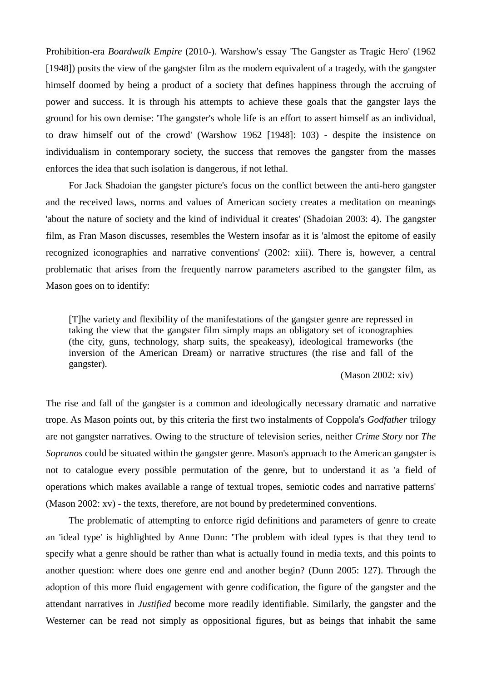Prohibition-era *Boardwalk Empire* (2010-). Warshow's essay 'The Gangster as Tragic Hero' (1962 [1948]) posits the view of the gangster film as the modern equivalent of a tragedy, with the gangster himself doomed by being a product of a society that defines happiness through the accruing of power and success. It is through his attempts to achieve these goals that the gangster lays the ground for his own demise: 'The gangster's whole life is an effort to assert himself as an individual, to draw himself out of the crowd' (Warshow 1962 [1948]: 103) - despite the insistence on individualism in contemporary society, the success that removes the gangster from the masses enforces the idea that such isolation is dangerous, if not lethal.

For Jack Shadoian the gangster picture's focus on the conflict between the anti-hero gangster and the received laws, norms and values of American society creates a meditation on meanings 'about the nature of society and the kind of individual it creates' (Shadoian 2003: 4). The gangster film, as Fran Mason discusses, resembles the Western insofar as it is 'almost the epitome of easily recognized iconographies and narrative conventions' (2002: xiii). There is, however, a central problematic that arises from the frequently narrow parameters ascribed to the gangster film, as Mason goes on to identify:

[T]he variety and flexibility of the manifestations of the gangster genre are repressed in taking the view that the gangster film simply maps an obligatory set of iconographies (the city, guns, technology, sharp suits, the speakeasy), ideological frameworks (the inversion of the American Dream) or narrative structures (the rise and fall of the gangster).

#### (Mason 2002: xiv)

The rise and fall of the gangster is a common and ideologically necessary dramatic and narrative trope. As Mason points out, by this criteria the first two instalments of Coppola's *Godfather* trilogy are not gangster narratives. Owing to the structure of television series, neither *Crime Story* nor *The Sopranos* could be situated within the gangster genre. Mason's approach to the American gangster is not to catalogue every possible permutation of the genre, but to understand it as 'a field of operations which makes available a range of textual tropes, semiotic codes and narrative patterns' (Mason 2002: xv) - the texts, therefore, are not bound by predetermined conventions.

The problematic of attempting to enforce rigid definitions and parameters of genre to create an 'ideal type' is highlighted by Anne Dunn: 'The problem with ideal types is that they tend to specify what a genre should be rather than what is actually found in media texts, and this points to another question: where does one genre end and another begin? (Dunn 2005: 127). Through the adoption of this more fluid engagement with genre codification, the figure of the gangster and the attendant narratives in *Justified* become more readily identifiable. Similarly, the gangster and the Westerner can be read not simply as oppositional figures, but as beings that inhabit the same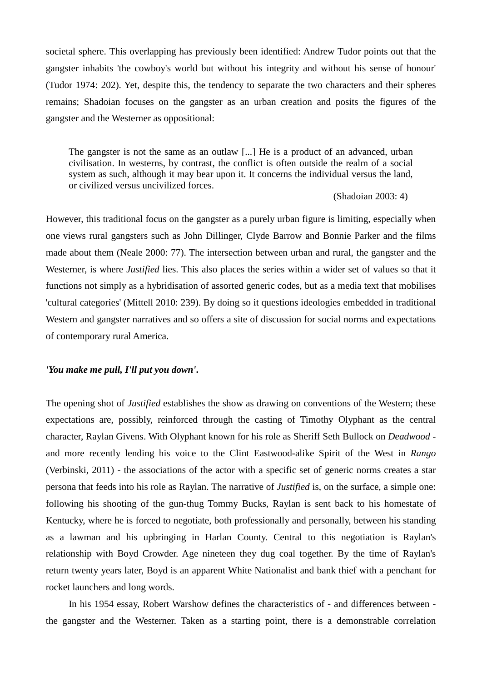societal sphere. This overlapping has previously been identified: Andrew Tudor points out that the gangster inhabits 'the cowboy's world but without his integrity and without his sense of honour' (Tudor 1974: 202). Yet, despite this, the tendency to separate the two characters and their spheres remains; Shadoian focuses on the gangster as an urban creation and posits the figures of the gangster and the Westerner as oppositional:

The gangster is not the same as an outlaw [...] He is a product of an advanced, urban civilisation. In westerns, by contrast, the conflict is often outside the realm of a social system as such, although it may bear upon it. It concerns the individual versus the land, or civilized versus uncivilized forces.

### (Shadoian 2003: 4)

However, this traditional focus on the gangster as a purely urban figure is limiting, especially when one views rural gangsters such as John Dillinger, Clyde Barrow and Bonnie Parker and the films made about them (Neale 2000: 77). The intersection between urban and rural, the gangster and the Westerner, is where *Justified* lies. This also places the series within a wider set of values so that it functions not simply as a hybridisation of assorted generic codes, but as a media text that mobilises 'cultural categories' (Mittell 2010: 239). By doing so it questions ideologies embedded in traditional Western and gangster narratives and so offers a site of discussion for social norms and expectations of contemporary rural America.

### *'You make me pull, I'll put you down'***.**

The opening shot of *Justified* establishes the show as drawing on conventions of the Western; these expectations are, possibly, reinforced through the casting of Timothy Olyphant as the central character, Raylan Givens. With Olyphant known for his role as Sheriff Seth Bullock on *Deadwood*  and more recently lending his voice to the Clint Eastwood-alike Spirit of the West in *Rango* (Verbinski, 2011) - the associations of the actor with a specific set of generic norms creates a star persona that feeds into his role as Raylan. The narrative of *Justified* is, on the surface, a simple one: following his shooting of the gun-thug Tommy Bucks, Raylan is sent back to his homestate of Kentucky, where he is forced to negotiate, both professionally and personally, between his standing as a lawman and his upbringing in Harlan County. Central to this negotiation is Raylan's relationship with Boyd Crowder. Age nineteen they dug coal together. By the time of Raylan's return twenty years later, Boyd is an apparent White Nationalist and bank thief with a penchant for rocket launchers and long words.

In his 1954 essay, Robert Warshow defines the characteristics of - and differences between the gangster and the Westerner. Taken as a starting point, there is a demonstrable correlation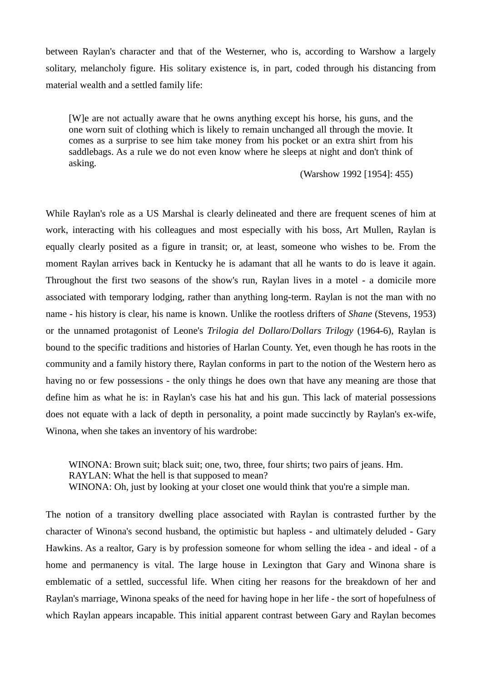between Raylan's character and that of the Westerner, who is, according to Warshow a largely solitary, melancholy figure. His solitary existence is, in part, coded through his distancing from material wealth and a settled family life:

[W]e are not actually aware that he owns anything except his horse, his guns, and the one worn suit of clothing which is likely to remain unchanged all through the movie. It comes as a surprise to see him take money from his pocket or an extra shirt from his saddlebags. As a rule we do not even know where he sleeps at night and don't think of asking.

(Warshow 1992 [1954]: 455)

While Raylan's role as a US Marshal is clearly delineated and there are frequent scenes of him at work, interacting with his colleagues and most especially with his boss, Art Mullen, Raylan is equally clearly posited as a figure in transit; or, at least, someone who wishes to be. From the moment Raylan arrives back in Kentucky he is adamant that all he wants to do is leave it again. Throughout the first two seasons of the show's run, Raylan lives in a motel - a domicile more associated with temporary lodging, rather than anything long-term. Raylan is not the man with no name - his history is clear, his name is known. Unlike the rootless drifters of *Shane* (Stevens, 1953) or the unnamed protagonist of Leone's *Trilogia del Dollaro*/*Dollars Trilogy* (1964-6), Raylan is bound to the specific traditions and histories of Harlan County. Yet, even though he has roots in the community and a family history there, Raylan conforms in part to the notion of the Western hero as having no or few possessions - the only things he does own that have any meaning are those that define him as what he is: in Raylan's case his hat and his gun. This lack of material possessions does not equate with a lack of depth in personality, a point made succinctly by Raylan's ex-wife, Winona, when she takes an inventory of his wardrobe:

WINONA: Brown suit; black suit; one, two, three, four shirts; two pairs of jeans. Hm. RAYLAN: What the hell is that supposed to mean? WINONA: Oh, just by looking at your closet one would think that you're a simple man.

The notion of a transitory dwelling place associated with Raylan is contrasted further by the character of Winona's second husband, the optimistic but hapless - and ultimately deluded - Gary Hawkins. As a realtor, Gary is by profession someone for whom selling the idea - and ideal - of a home and permanency is vital. The large house in Lexington that Gary and Winona share is emblematic of a settled, successful life. When citing her reasons for the breakdown of her and Raylan's marriage, Winona speaks of the need for having hope in her life - the sort of hopefulness of which Raylan appears incapable. This initial apparent contrast between Gary and Raylan becomes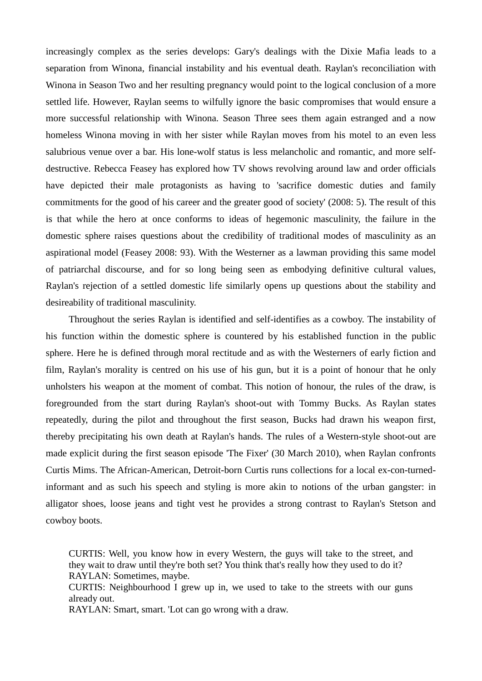increasingly complex as the series develops: Gary's dealings with the Dixie Mafia leads to a separation from Winona, financial instability and his eventual death. Raylan's reconciliation with Winona in Season Two and her resulting pregnancy would point to the logical conclusion of a more settled life. However, Raylan seems to wilfully ignore the basic compromises that would ensure a more successful relationship with Winona. Season Three sees them again estranged and a now homeless Winona moving in with her sister while Raylan moves from his motel to an even less salubrious venue over a bar. His lone-wolf status is less melancholic and romantic, and more selfdestructive. Rebecca Feasey has explored how TV shows revolving around law and order officials have depicted their male protagonists as having to 'sacrifice domestic duties and family commitments for the good of his career and the greater good of society' (2008: 5). The result of this is that while the hero at once conforms to ideas of hegemonic masculinity, the failure in the domestic sphere raises questions about the credibility of traditional modes of masculinity as an aspirational model (Feasey 2008: 93). With the Westerner as a lawman providing this same model of patriarchal discourse, and for so long being seen as embodying definitive cultural values, Raylan's rejection of a settled domestic life similarly opens up questions about the stability and desireability of traditional masculinity.

Throughout the series Raylan is identified and self-identifies as a cowboy. The instability of his function within the domestic sphere is countered by his established function in the public sphere. Here he is defined through moral rectitude and as with the Westerners of early fiction and film, Raylan's morality is centred on his use of his gun, but it is a point of honour that he only unholsters his weapon at the moment of combat. This notion of honour, the rules of the draw, is foregrounded from the start during Raylan's shoot-out with Tommy Bucks. As Raylan states repeatedly, during the pilot and throughout the first season, Bucks had drawn his weapon first, thereby precipitating his own death at Raylan's hands. The rules of a Western-style shoot-out are made explicit during the first season episode 'The Fixer' (30 March 2010), when Raylan confronts Curtis Mims. The African-American, Detroit-born Curtis runs collections for a local ex-con-turnedinformant and as such his speech and styling is more akin to notions of the urban gangster: in alligator shoes, loose jeans and tight vest he provides a strong contrast to Raylan's Stetson and cowboy boots.

CURTIS: Well, you know how in every Western, the guys will take to the street, and they wait to draw until they're both set? You think that's really how they used to do it? RAYLAN: Sometimes, maybe.

CURTIS: Neighbourhood I grew up in, we used to take to the streets with our guns already out.

RAYLAN: Smart, smart. 'Lot can go wrong with a draw.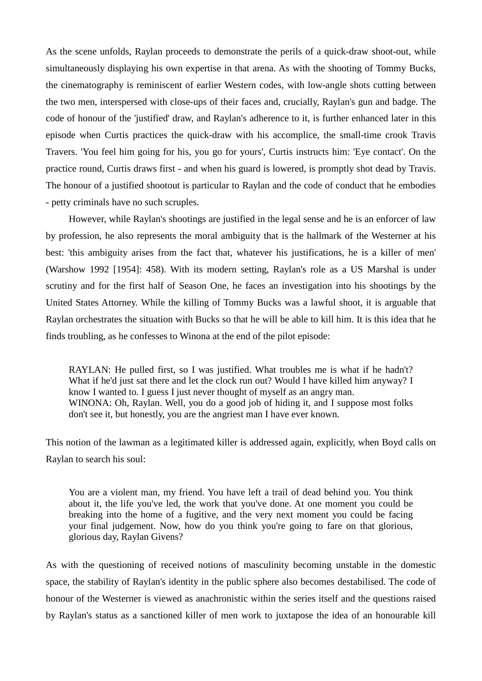As the scene unfolds, Raylan proceeds to demonstrate the perils of a quick-draw shoot-out, while simultaneously displaying his own expertise in that arena. As with the shooting of Tommy Bucks, the cinematography is reminiscent of earlier Western codes, with low-angle shots cutting between the two men, interspersed with close-ups of their faces and, crucially, Raylan's gun and badge. The code of honour of the 'justified' draw, and Raylan's adherence to it, is further enhanced later in this episode when Curtis practices the quick-draw with his accomplice, the small-time crook Travis Travers. 'You feel him going for his, you go for yours', Curtis instructs him: 'Eye contact'. On the practice round, Curtis draws first - and when his guard is lowered, is promptly shot dead by Travis. The honour of a justified shootout is particular to Raylan and the code of conduct that he embodies - petty criminals have no such scruples.

However, while Raylan's shootings are justified in the legal sense and he is an enforcer of law by profession, he also represents the moral ambiguity that is the hallmark of the Westerner at his best: 'this ambiguity arises from the fact that, whatever his justifications, he is a killer of men' (Warshow 1992 [1954]: 458). With its modern setting, Raylan's role as a US Marshal is under scrutiny and for the first half of Season One, he faces an investigation into his shootings by the United States Attorney. While the killing of Tommy Bucks was a lawful shoot, it is arguable that Raylan orchestrates the situation with Bucks so that he will be able to kill him. It is this idea that he finds troubling, as he confesses to Winona at the end of the pilot episode:

RAYLAN: He pulled first, so I was justified. What troubles me is what if he hadn't? What if he'd just sat there and let the clock run out? Would I have killed him anyway? I know I wanted to. I guess I just never thought of myself as an angry man. WINONA: Oh, Raylan. Well, you do a good job of hiding it, and I suppose most folks don't see it, but honestly, you are the angriest man I have ever known.

This notion of the lawman as a legitimated killer is addressed again, explicitly, when Boyd calls on Raylan to search his soul:

You are a violent man, my friend. You have left a trail of dead behind you. You think about it, the life you've led, the work that you've done. At one moment you could be breaking into the home of a fugitive, and the very next moment you could be facing your final judgement. Now, how do you think you're going to fare on that glorious, glorious day, Raylan Givens?

As with the questioning of received notions of masculinity becoming unstable in the domestic space, the stability of Raylan's identity in the public sphere also becomes destabilised. The code of honour of the Westerner is viewed as anachronistic within the series itself and the questions raised by Raylan's status as a sanctioned killer of men work to juxtapose the idea of an honourable kill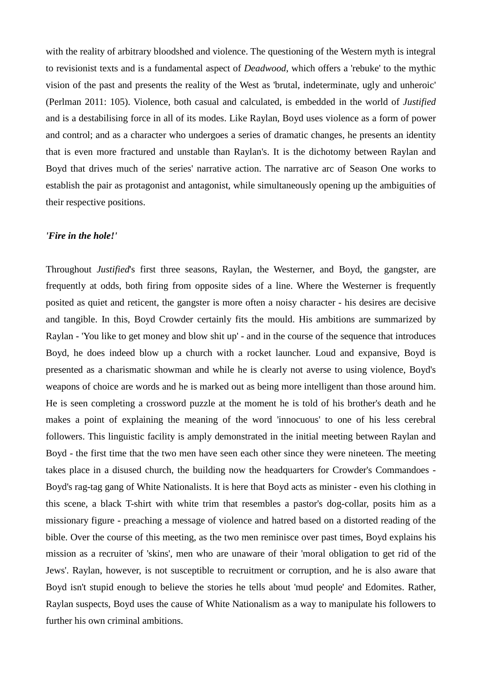with the reality of arbitrary bloodshed and violence. The questioning of the Western myth is integral to revisionist texts and is a fundamental aspect of *Deadwood*, which offers a 'rebuke' to the mythic vision of the past and presents the reality of the West as 'brutal, indeterminate, ugly and unheroic' (Perlman 2011: 105). Violence, both casual and calculated, is embedded in the world of *Justified* and is a destabilising force in all of its modes. Like Raylan, Boyd uses violence as a form of power and control; and as a character who undergoes a series of dramatic changes, he presents an identity that is even more fractured and unstable than Raylan's. It is the dichotomy between Raylan and Boyd that drives much of the series' narrative action. The narrative arc of Season One works to establish the pair as protagonist and antagonist, while simultaneously opening up the ambiguities of their respective positions.

### *'Fire in the hole!'*

Throughout *Justified*'s first three seasons, Raylan, the Westerner, and Boyd, the gangster, are frequently at odds, both firing from opposite sides of a line. Where the Westerner is frequently posited as quiet and reticent, the gangster is more often a noisy character - his desires are decisive and tangible. In this, Boyd Crowder certainly fits the mould. His ambitions are summarized by Raylan - 'You like to get money and blow shit up' - and in the course of the sequence that introduces Boyd, he does indeed blow up a church with a rocket launcher. Loud and expansive, Boyd is presented as a charismatic showman and while he is clearly not averse to using violence, Boyd's weapons of choice are words and he is marked out as being more intelligent than those around him. He is seen completing a crossword puzzle at the moment he is told of his brother's death and he makes a point of explaining the meaning of the word 'innocuous' to one of his less cerebral followers. This linguistic facility is amply demonstrated in the initial meeting between Raylan and Boyd - the first time that the two men have seen each other since they were nineteen. The meeting takes place in a disused church, the building now the headquarters for Crowder's Commandoes - Boyd's rag-tag gang of White Nationalists. It is here that Boyd acts as minister - even his clothing in this scene, a black T-shirt with white trim that resembles a pastor's dog-collar, posits him as a missionary figure - preaching a message of violence and hatred based on a distorted reading of the bible. Over the course of this meeting, as the two men reminisce over past times, Boyd explains his mission as a recruiter of 'skins', men who are unaware of their 'moral obligation to get rid of the Jews'. Raylan, however, is not susceptible to recruitment or corruption, and he is also aware that Boyd isn't stupid enough to believe the stories he tells about 'mud people' and Edomites. Rather, Raylan suspects, Boyd uses the cause of White Nationalism as a way to manipulate his followers to further his own criminal ambitions.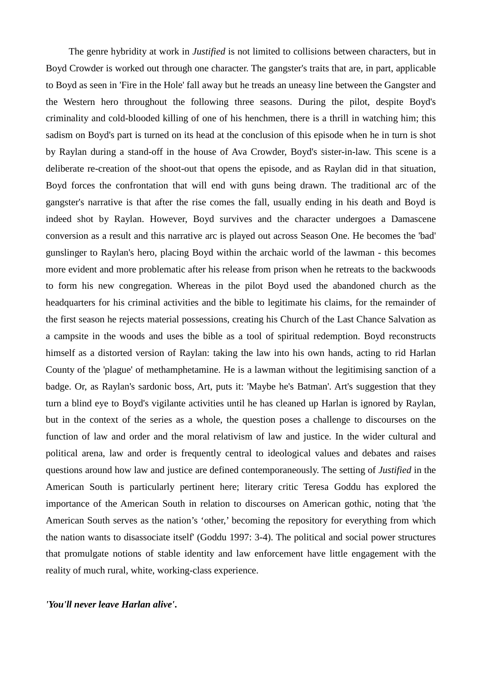The genre hybridity at work in *Justified* is not limited to collisions between characters, but in Boyd Crowder is worked out through one character. The gangster's traits that are, in part, applicable to Boyd as seen in 'Fire in the Hole' fall away but he treads an uneasy line between the Gangster and the Western hero throughout the following three seasons. During the pilot, despite Boyd's criminality and cold-blooded killing of one of his henchmen, there is a thrill in watching him; this sadism on Boyd's part is turned on its head at the conclusion of this episode when he in turn is shot by Raylan during a stand-off in the house of Ava Crowder, Boyd's sister-in-law. This scene is a deliberate re-creation of the shoot-out that opens the episode, and as Raylan did in that situation, Boyd forces the confrontation that will end with guns being drawn. The traditional arc of the gangster's narrative is that after the rise comes the fall, usually ending in his death and Boyd is indeed shot by Raylan. However, Boyd survives and the character undergoes a Damascene conversion as a result and this narrative arc is played out across Season One. He becomes the 'bad' gunslinger to Raylan's hero, placing Boyd within the archaic world of the lawman - this becomes more evident and more problematic after his release from prison when he retreats to the backwoods to form his new congregation. Whereas in the pilot Boyd used the abandoned church as the headquarters for his criminal activities and the bible to legitimate his claims, for the remainder of the first season he rejects material possessions, creating his Church of the Last Chance Salvation as a campsite in the woods and uses the bible as a tool of spiritual redemption. Boyd reconstructs himself as a distorted version of Raylan: taking the law into his own hands, acting to rid Harlan County of the 'plague' of methamphetamine. He is a lawman without the legitimising sanction of a badge. Or, as Raylan's sardonic boss, Art, puts it: 'Maybe he's Batman'. Art's suggestion that they turn a blind eye to Boyd's vigilante activities until he has cleaned up Harlan is ignored by Raylan, but in the context of the series as a whole, the question poses a challenge to discourses on the function of law and order and the moral relativism of law and justice. In the wider cultural and political arena, law and order is frequently central to ideological values and debates and raises questions around how law and justice are defined contemporaneously. The setting of *Justified* in the American South is particularly pertinent here; literary critic Teresa Goddu has explored the importance of the American South in relation to discourses on American gothic, noting that 'the American South serves as the nation's 'other,' becoming the repository for everything from which the nation wants to disassociate itself' (Goddu 1997: 3-4). The political and social power structures that promulgate notions of stable identity and law enforcement have little engagement with the reality of much rural, white, working-class experience.

### *'You'll never leave Harlan alive'***.**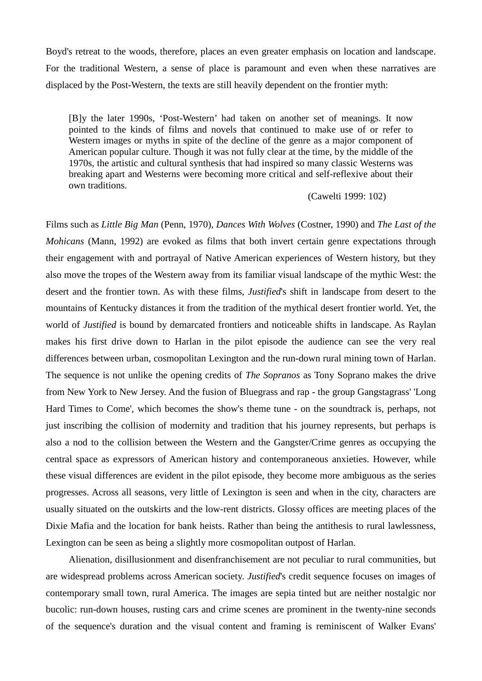Boyd's retreat to the woods, therefore, places an even greater emphasis on location and landscape. For the traditional Western, a sense of place is paramount and even when these narratives are displaced by the Post-Western, the texts are still heavily dependent on the frontier myth:

[B]y the later 1990s, 'Post-Western' had taken on another set of meanings. It now pointed to the kinds of films and novels that continued to make use of or refer to Western images or myths in spite of the decline of the genre as a major component of American popular culture. Though it was not fully clear at the time, by the middle of the 1970s, the artistic and cultural synthesis that had inspired so many classic Westerns was breaking apart and Westerns were becoming more critical and self-reflexive about their own traditions.

(Cawelti 1999: 102)

Films such as *Little Big Man* (Penn, 1970), *Dances With Wolves* (Costner, 1990) and *The Last of the Mohicans* (Mann, 1992) are evoked as films that both invert certain genre expectations through their engagement with and portrayal of Native American experiences of Western history, but they also move the tropes of the Western away from its familiar visual landscape of the mythic West: the desert and the frontier town. As with these films, *Justified*'s shift in landscape from desert to the mountains of Kentucky distances it from the tradition of the mythical desert frontier world. Yet, the world of *Justified* is bound by demarcated frontiers and noticeable shifts in landscape. As Raylan makes his first drive down to Harlan in the pilot episode the audience can see the very real differences between urban, cosmopolitan Lexington and the run-down rural mining town of Harlan. The sequence is not unlike the opening credits of *The Sopranos* as Tony Soprano makes the drive from New York to New Jersey. And the fusion of Bluegrass and rap - the group Gangstagrass' 'Long Hard Times to Come'*,* which becomes the show's theme tune - on the soundtrack is, perhaps, not just inscribing the collision of modernity and tradition that his journey represents, but perhaps is also a nod to the collision between the Western and the Gangster/Crime genres as occupying the central space as expressors of American history and contemporaneous anxieties. However, while these visual differences are evident in the pilot episode, they become more ambiguous as the series progresses. Across all seasons, very little of Lexington is seen and when in the city, characters are usually situated on the outskirts and the low-rent districts. Glossy offices are meeting places of the Dixie Mafia and the location for bank heists. Rather than being the antithesis to rural lawlessness, Lexington can be seen as being a slightly more cosmopolitan outpost of Harlan.

Alienation, disillusionment and disenfranchisement are not peculiar to rural communities, but are widespread problems across American society. *Justified*'s credit sequence focuses on images of contemporary small town, rural America. The images are sepia tinted but are neither nostalgic nor bucolic: run-down houses, rusting cars and crime scenes are prominent in the twenty-nine seconds of the sequence's duration and the visual content and framing is reminiscent of Walker Evans'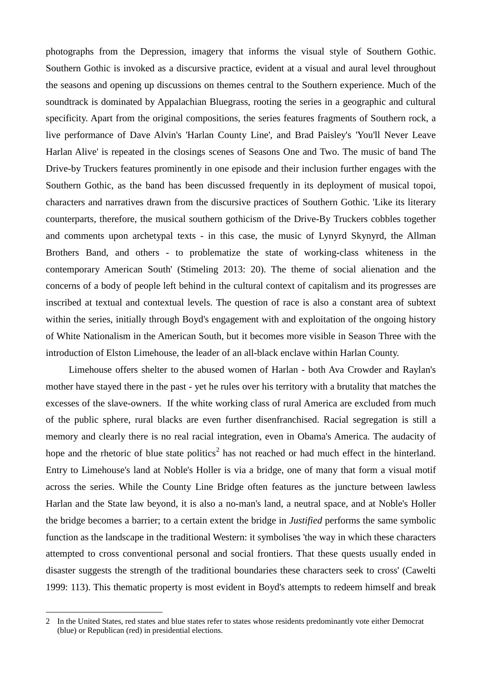photographs from the Depression, imagery that informs the visual style of Southern Gothic. Southern Gothic is invoked as a discursive practice, evident at a visual and aural level throughout the seasons and opening up discussions on themes central to the Southern experience. Much of the soundtrack is dominated by Appalachian Bluegrass, rooting the series in a geographic and cultural specificity. Apart from the original compositions, the series features fragments of Southern rock, a live performance of Dave Alvin's 'Harlan County Line', and Brad Paisley's 'You'll Never Leave Harlan Alive' is repeated in the closings scenes of Seasons One and Two. The music of band The Drive-by Truckers features prominently in one episode and their inclusion further engages with the Southern Gothic, as the band has been discussed frequently in its deployment of musical topoi, characters and narratives drawn from the discursive practices of Southern Gothic. 'Like its literary counterparts, therefore, the musical southern gothicism of the Drive-By Truckers cobbles together and comments upon archetypal texts - in this case, the music of Lynyrd Skynyrd, the Allman Brothers Band, and others - to problematize the state of working-class whiteness in the contemporary American South' (Stimeling 2013: 20). The theme of social alienation and the concerns of a body of people left behind in the cultural context of capitalism and its progresses are inscribed at textual and contextual levels. The question of race is also a constant area of subtext within the series, initially through Boyd's engagement with and exploitation of the ongoing history of White Nationalism in the American South, but it becomes more visible in Season Three with the introduction of Elston Limehouse, the leader of an all-black enclave within Harlan County.

Limehouse offers shelter to the abused women of Harlan - both Ava Crowder and Raylan's mother have stayed there in the past - yet he rules over his territory with a brutality that matches the excesses of the slave-owners. If the white working class of rural America are excluded from much of the public sphere, rural blacks are even further disenfranchised. Racial segregation is still a memory and clearly there is no real racial integration, even in Obama's America. The audacity of hope and the rhetoric of blue state politics<sup>[2](#page-13-0)</sup> has not reached or had much effect in the hinterland. Entry to Limehouse's land at Noble's Holler is via a bridge, one of many that form a visual motif across the series. While the County Line Bridge often features as the juncture between lawless Harlan and the State law beyond, it is also a no-man's land, a neutral space, and at Noble's Holler the bridge becomes a barrier; to a certain extent the bridge in *Justified* performs the same symbolic function as the landscape in the traditional Western: it symbolises 'the way in which these characters attempted to cross conventional personal and social frontiers. That these quests usually ended in disaster suggests the strength of the traditional boundaries these characters seek to cross' (Cawelti 1999: 113). This thematic property is most evident in Boyd's attempts to redeem himself and break

<span id="page-13-0"></span><sup>2</sup> In the United States, red states and blue states refer to states whose residents predominantly vote either Democrat (blue) or Republican (red) in presidential elections.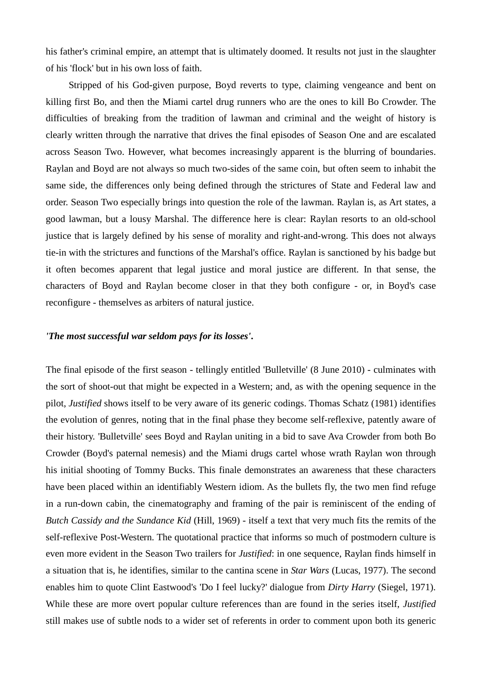his father's criminal empire, an attempt that is ultimately doomed. It results not just in the slaughter of his 'flock' but in his own loss of faith.

Stripped of his God-given purpose, Boyd reverts to type, claiming vengeance and bent on killing first Bo, and then the Miami cartel drug runners who are the ones to kill Bo Crowder. The difficulties of breaking from the tradition of lawman and criminal and the weight of history is clearly written through the narrative that drives the final episodes of Season One and are escalated across Season Two. However, what becomes increasingly apparent is the blurring of boundaries. Raylan and Boyd are not always so much two-sides of the same coin, but often seem to inhabit the same side, the differences only being defined through the strictures of State and Federal law and order. Season Two especially brings into question the role of the lawman. Raylan is, as Art states, a good lawman, but a lousy Marshal. The difference here is clear: Raylan resorts to an old-school justice that is largely defined by his sense of morality and right-and-wrong. This does not always tie-in with the strictures and functions of the Marshal's office. Raylan is sanctioned by his badge but it often becomes apparent that legal justice and moral justice are different. In that sense, the characters of Boyd and Raylan become closer in that they both configure - or, in Boyd's case reconfigure - themselves as arbiters of natural justice.

### *'The most successful war seldom pays for its losses'***.**

The final episode of the first season - tellingly entitled 'Bulletville' (8 June 2010) *-* culminates with the sort of shoot-out that might be expected in a Western; and, as with the opening sequence in the pilot, *Justified* shows itself to be very aware of its generic codings. Thomas Schatz (1981) identifies the evolution of genres, noting that in the final phase they become self-reflexive, patently aware of their history. 'Bulletville' sees Boyd and Raylan uniting in a bid to save Ava Crowder from both Bo Crowder (Boyd's paternal nemesis) and the Miami drugs cartel whose wrath Raylan won through his initial shooting of Tommy Bucks. This finale demonstrates an awareness that these characters have been placed within an identifiably Western idiom. As the bullets fly, the two men find refuge in a run-down cabin, the cinematography and framing of the pair is reminiscent of the ending of *Butch Cassidy and the Sundance Kid* (Hill, 1969) - itself a text that very much fits the remits of the self-reflexive Post-Western. The quotational practice that informs so much of postmodern culture is even more evident in the Season Two trailers for *Justified*: in one sequence, Raylan finds himself in a situation that is, he identifies, similar to the cantina scene in *Star Wars* (Lucas, 1977). The second enables him to quote Clint Eastwood's 'Do I feel lucky?' dialogue from *Dirty Harry* (Siegel, 1971). While these are more overt popular culture references than are found in the series itself, *Justified* still makes use of subtle nods to a wider set of referents in order to comment upon both its generic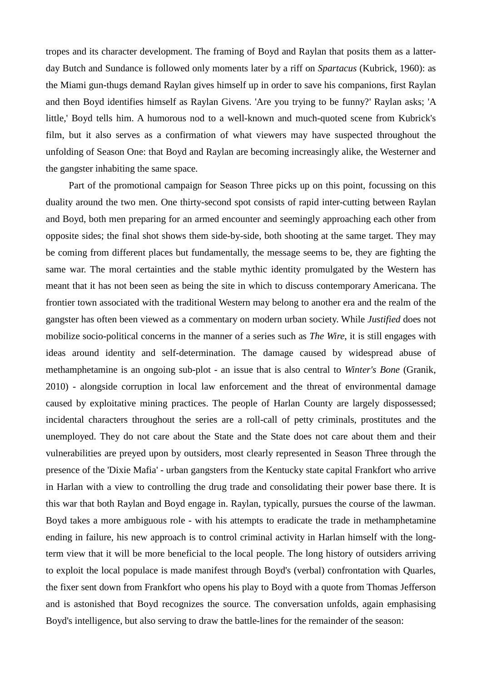tropes and its character development. The framing of Boyd and Raylan that posits them as a latterday Butch and Sundance is followed only moments later by a riff on *Spartacus* (Kubrick, 1960): as the Miami gun-thugs demand Raylan gives himself up in order to save his companions, first Raylan and then Boyd identifies himself as Raylan Givens. 'Are you trying to be funny?' Raylan asks; 'A little,' Boyd tells him. A humorous nod to a well-known and much-quoted scene from Kubrick's film, but it also serves as a confirmation of what viewers may have suspected throughout the unfolding of Season One: that Boyd and Raylan are becoming increasingly alike, the Westerner and the gangster inhabiting the same space.

Part of the promotional campaign for Season Three picks up on this point, focussing on this duality around the two men. One thirty-second spot consists of rapid inter-cutting between Raylan and Boyd, both men preparing for an armed encounter and seemingly approaching each other from opposite sides; the final shot shows them side-by-side, both shooting at the same target. They may be coming from different places but fundamentally, the message seems to be, they are fighting the same war. The moral certainties and the stable mythic identity promulgated by the Western has meant that it has not been seen as being the site in which to discuss contemporary Americana. The frontier town associated with the traditional Western may belong to another era and the realm of the gangster has often been viewed as a commentary on modern urban society. While *Justified* does not mobilize socio-political concerns in the manner of a series such as *The Wire*, it is still engages with ideas around identity and self-determination. The damage caused by widespread abuse of methamphetamine is an ongoing sub-plot - an issue that is also central to *Winter's Bone* (Granik, 2010) - alongside corruption in local law enforcement and the threat of environmental damage caused by exploitative mining practices. The people of Harlan County are largely dispossessed; incidental characters throughout the series are a roll-call of petty criminals, prostitutes and the unemployed. They do not care about the State and the State does not care about them and their vulnerabilities are preyed upon by outsiders, most clearly represented in Season Three through the presence of the 'Dixie Mafia' - urban gangsters from the Kentucky state capital Frankfort who arrive in Harlan with a view to controlling the drug trade and consolidating their power base there. It is this war that both Raylan and Boyd engage in. Raylan, typically, pursues the course of the lawman. Boyd takes a more ambiguous role - with his attempts to eradicate the trade in methamphetamine ending in failure, his new approach is to control criminal activity in Harlan himself with the longterm view that it will be more beneficial to the local people. The long history of outsiders arriving to exploit the local populace is made manifest through Boyd's (verbal) confrontation with Quarles, the fixer sent down from Frankfort who opens his play to Boyd with a quote from Thomas Jefferson and is astonished that Boyd recognizes the source. The conversation unfolds, again emphasising Boyd's intelligence, but also serving to draw the battle-lines for the remainder of the season: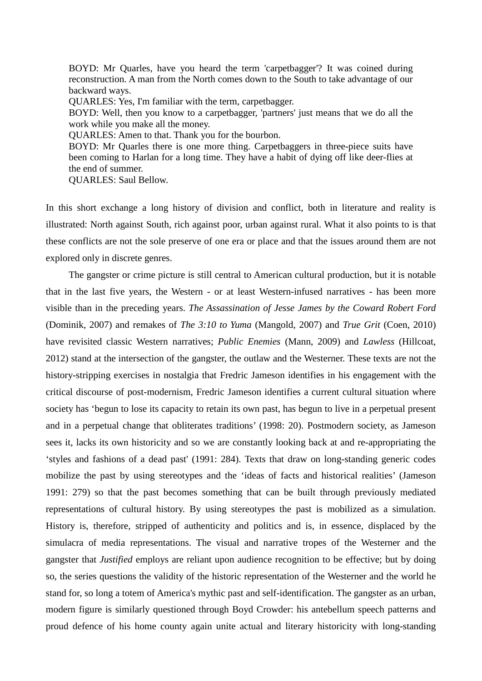BOYD: Mr Quarles, have you heard the term 'carpetbagger'? It was coined during reconstruction. A man from the North comes down to the South to take advantage of our backward ways. QUARLES: Yes, I'm familiar with the term, carpetbagger. BOYD: Well, then you know to a carpetbagger, 'partners' just means that we do all the work while you make all the money.

QUARLES: Amen to that. Thank you for the bourbon.

BOYD: Mr Quarles there is one more thing. Carpetbaggers in three-piece suits have been coming to Harlan for a long time. They have a habit of dying off like deer-flies at the end of summer.

QUARLES: Saul Bellow.

In this short exchange a long history of division and conflict, both in literature and reality is illustrated: North against South, rich against poor, urban against rural. What it also points to is that these conflicts are not the sole preserve of one era or place and that the issues around them are not explored only in discrete genres.

The gangster or crime picture is still central to American cultural production, but it is notable that in the last five years, the Western - or at least Western-infused narratives - has been more visible than in the preceding years. *The Assassination of Jesse James by the Coward Robert Ford* (Dominik, 2007) and remakes of *The 3:10 to Yuma* (Mangold, 2007) and *True Grit* (Coen, 2010) have revisited classic Western narratives; *Public Enemies* (Mann, 2009) and *Lawless* (Hillcoat, 2012) stand at the intersection of the gangster, the outlaw and the Westerner. These texts are not the history-stripping exercises in nostalgia that Fredric Jameson identifies in his engagement with the critical discourse of post-modernism, Fredric Jameson identifies a current cultural situation where society has 'begun to lose its capacity to retain its own past, has begun to live in a perpetual present and in a perpetual change that obliterates traditions' (1998: 20). Postmodern society, as Jameson sees it, lacks its own historicity and so we are constantly looking back at and re-appropriating the 'styles and fashions of a dead past' (1991: 284). Texts that draw on long-standing generic codes mobilize the past by using stereotypes and the 'ideas of facts and historical realities' (Jameson 1991: 279) so that the past becomes something that can be built through previously mediated representations of cultural history. By using stereotypes the past is mobilized as a simulation. History is, therefore, stripped of authenticity and politics and is, in essence, displaced by the simulacra of media representations. The visual and narrative tropes of the Westerner and the gangster that *Justified* employs are reliant upon audience recognition to be effective; but by doing so, the series questions the validity of the historic representation of the Westerner and the world he stand for, so long a totem of America's mythic past and self-identification. The gangster as an urban, modern figure is similarly questioned through Boyd Crowder: his antebellum speech patterns and proud defence of his home county again unite actual and literary historicity with long-standing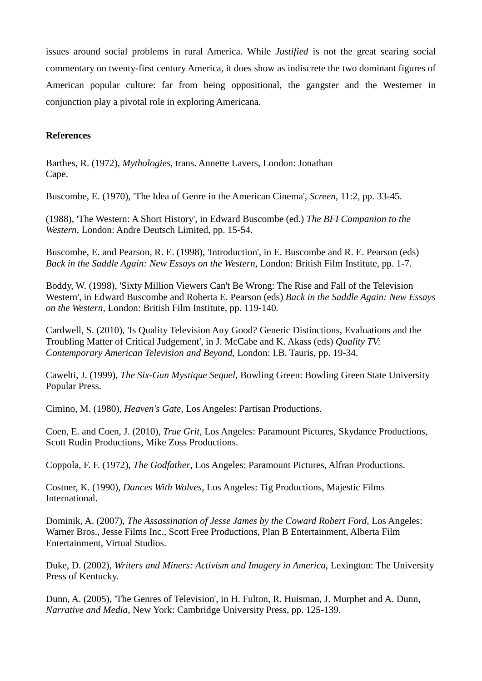issues around social problems in rural America. While *Justified* is not the great searing social commentary on twenty-first century America, it does show as indiscrete the two dominant figures of American popular culture: far from being oppositional, the gangster and the Westerner in conjunction play a pivotal role in exploring Americana.

# **References**

Barthes, R. (1972), *Mythologies*, trans. Annette Lavers, London: Jonathan Cape.

Buscombe, E. (1970), 'The Idea of Genre in the American Cinema', *Screen*, 11:2, pp. 33-45.

(1988), 'The Western: A Short History', in Edward Buscombe (ed.) *The BFI Companion to the Western*, London: Andre Deutsch Limited, pp. 15-54.

Buscombe, E. and Pearson, R. E. (1998), 'Introduction', in E. Buscombe and R. E. Pearson (eds) *Back in the Saddle Again: New Essays on the Western,* London: British Film Institute, pp. 1-7.

Boddy, W. (1998), 'Sixty Million Viewers Can't Be Wrong: The Rise and Fall of the Television Western', in Edward Buscombe and Roberta E. Pearson (eds) *Back in the Saddle Again: New Essays on the Western,* London: British Film Institute, pp. 119-140*.*

Cardwell, S. (2010), 'Is Quality Television Any Good? Generic Distinctions, Evaluations and the Troubling Matter of Critical Judgement', in J. McCabe and K. Akass (eds) *Quality TV: Contemporary American Television and Beyond*, London: I.B. Tauris, pp. 19-34.

Cawelti, J. (1999), *The Six-Gun Mystique Sequel,* Bowling Green: Bowling Green State University Popular Press.

Cimino, M. (1980), *Heaven's Gate*, Los Angeles: Partisan Productions.

Coen, E. and Coen, J. (2010), *True Grit*, Los Angeles: Paramount Pictures, Skydance Productions, Scott Rudin Productions, Mike Zoss Productions.

Coppola, F. F. (1972), *The Godfather*, Los Angeles: Paramount Pictures, Alfran Productions.

Costner, K. (1990), *Dances With Wolves*, Los Angeles: Tig Productions, Majestic Films International.

Dominik, A. (2007), *The Assassination of Jesse James by the Coward Robert Ford*, Los Angeles: Warner Bros., Jesse Films Inc., Scott Free Productions, Plan B Entertainment, Alberta Film Entertainment, Virtual Studios.

Duke, D. (2002), *Writers and Miners: Activism and Imagery in America*, Lexington: The University Press of Kentucky.

Dunn, A. (2005), 'The Genres of Television', in H. Fulton, R. Huisman, J. Murphet and A. Dunn, *Narrative and Media*, New York: Cambridge University Press, pp. 125-139.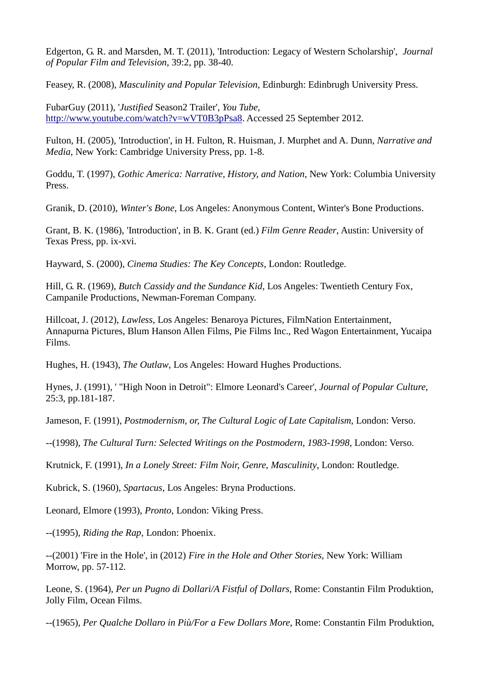Edgerton, G. R. and Marsden, M. T. (2011), 'Introduction: Legacy of Western Scholarship', *Journal of Popular Film and Television*, 39:2, pp. 38-40.

Feasey, R. (2008), *Masculinity and Popular Television*, Edinburgh: Edinbrugh University Press.

FubarGuy (2011), '*Justified* Season2 Trailer', *You Tube,*  [http://www.youtube.com/watch?v=wVT0B3pPsa8.](http://www.youtube.com/watch?v=wVT0B3pPsa8) Accessed 25 September 2012.

Fulton, H. (2005), 'Introduction', in H. Fulton, R. Huisman, J. Murphet and A. Dunn, *Narrative and Media*, New York: Cambridge University Press, pp. 1-8.

Goddu, T. (1997), *Gothic America: Narrative, History, and Nation*, New York: Columbia University Press.

Granik, D. (2010), *Winter's Bone*, Los Angeles: Anonymous Content, Winter's Bone Productions.

Grant, B. K. (1986), 'Introduction', in B. K. Grant (ed.) *Film Genre Reader*, Austin: University of Texas Press, pp. ix-xvi.

Hayward, S. (2000), *Cinema Studies: The Key Concepts*, London: Routledge.

Hill, G. R. (1969), *Butch Cassidy and the Sundance Kid*, Los Angeles: Twentieth Century Fox, Campanile Productions, Newman-Foreman Company.

Hillcoat, J. (2012), *Lawless*, Los Angeles: Benaroya Pictures, FilmNation Entertainment, Annapurna Pictures, Blum Hanson Allen Films, Pie Films Inc., Red Wagon Entertainment, Yucaipa Films.

Hughes, H. (1943), *The Outlaw*, Los Angeles: Howard Hughes Productions.

Hynes, J. (1991), ' "High Noon in Detroit": Elmore Leonard's Career', *Journal of Popular Culture*, 25:3, pp.181-187.

Jameson, F. (1991), *Postmodernism, or, The Cultural Logic of Late Capitalism*, London: Verso.

--(1998), *The Cultural Turn: Selected Writings on the Postmodern, 1983-1998*, London: Verso.

Krutnick, F. (1991), *In a Lonely Street: Film Noir, Genre, Masculinity*, London: Routledge.

Kubrick, S. (1960), *Spartacus*, Los Angeles: Bryna Productions.

Leonard, Elmore (1993), *Pronto*, London: Viking Press.

--(1995), *Riding the Rap,* London: Phoenix.

*-*-(2001) 'Fire in the Hole', in (2012) *Fire in the Hole and Other Stories*, New York: William Morrow, pp. 57-112.

Leone, S. (1964), *Per un Pugno di Dollari/A Fistful of Dollars*, Rome: Constantin Film Produktion, Jolly Film, Ocean Films.

--(1965), *Per Qualche Dollaro in Più/For a Few Dollars More*, Rome: Constantin Film Produktion,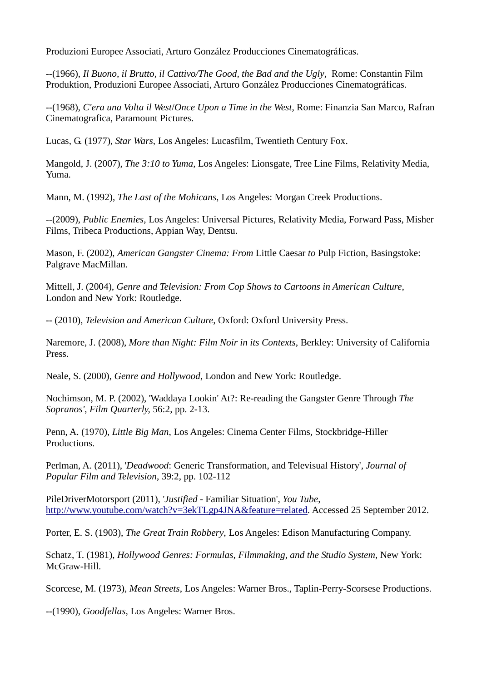Produzioni Europee Associati, Arturo González Producciones Cinematográficas.

--(1966), *Il Buono, il Brutto, il Cattivo/The Good, the Bad and the Ugly*, Rome: Constantin Film Produktion, Produzioni Europee Associati, Arturo González Producciones Cinematográficas.

--(1968), *C'era una Volta il West*/*Once Upon a Time in the West*, Rome: Finanzia San Marco, Rafran Cinematografica, Paramount Pictures.

Lucas, G. (1977), *Star Wars*, Los Angeles: Lucasfilm, Twentieth Century Fox.

Mangold, J. (2007), *The 3:10 to Yuma*, Los Angeles: Lionsgate, Tree Line Films, Relativity Media, Yuma.

Mann, M. (1992), *The Last of the Mohicans*, Los Angeles: Morgan Creek Productions.

--(2009), *Public Enemies*, Los Angeles: Universal Pictures, Relativity Media, Forward Pass, Misher Films, Tribeca Productions, Appian Way, Dentsu.

Mason, F. (2002), *American Gangster Cinema: From* Little Caesar *to* Pulp Fiction, Basingstoke: Palgrave MacMillan.

Mittell, J. (2004), *Genre and Television: From Cop Shows to Cartoons in American Culture*, London and New York: Routledge.

-- (2010), *Television and American Culture*, Oxford: Oxford University Press.

Naremore, J. (2008), *More than Night: Film Noir in its Contexts*, Berkley: University of California Press.

Neale, S. (2000), *Genre and Hollywood*, London and New York: Routledge.

Nochimson, M. P. (2002), 'Waddaya Lookin' At?: Re-reading the Gangster Genre Through *The Sopranos'*, *Film Quarterly,* 56:2, pp. 2-13.

Penn, A. (1970), *Little Big Man*, Los Angeles: Cinema Center Films, Stockbridge-Hiller Productions.

Perlman, A. (2011), '*Deadwood*: Generic Transformation, and Televisual History', *Journal of Popular Film and Television*, 39:2, pp. 102-112

PileDriverMotorsport (2011), '*Justified* - Familiar Situation', *You Tube*, [http://www.youtube.com/watch?v=3ekTLgp4JNA&feature=related.](http://www.youtube.com/watch?v=3ekTLgp4JNA&feature=related) Accessed 25 September 2012.

Porter, E. S. (1903), *The Great Train Robbery*, Los Angeles: Edison Manufacturing Company.

Schatz, T. (1981), *Hollywood Genres: Formulas, Filmmaking, and the Studio System*, New York: McGraw-Hill.

Scorcese, M. (1973), *Mean Streets*, Los Angeles: Warner Bros., Taplin-Perry-Scorsese Productions.

--(1990), *Goodfellas,* Los Angeles: Warner Bros.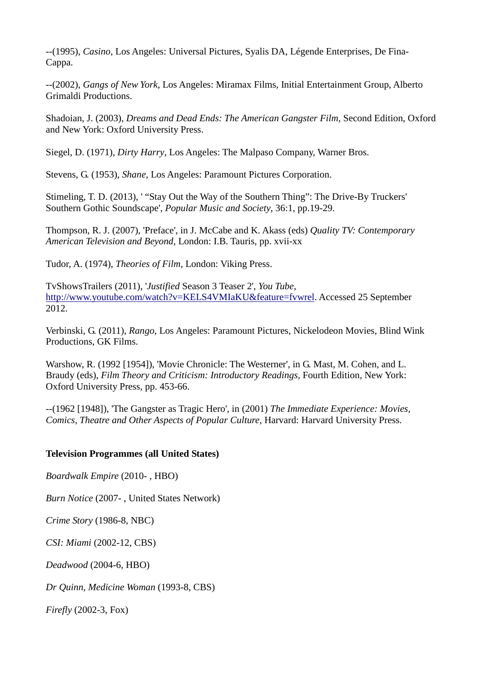--(1995), *Casino*, Los Angeles: Universal Pictures, Syalis DA, Légende Enterprises, De Fina-Cappa.

--(2002), *Gangs of New York*, Los Angeles: Miramax Films, Initial Entertainment Group, Alberto Grimaldi Productions.

Shadoian, J. (2003), *Dreams and Dead Ends: The American Gangster Film*, Second Edition, Oxford and New York: Oxford University Press.

Siegel, D. (1971), *Dirty Harry*, Los Angeles: The Malpaso Company, Warner Bros.

Stevens, G. (1953), *Shane*, Los Angeles: Paramount Pictures Corporation.

Stimeling, T. D. (2013), ' "Stay Out the Way of the Southern Thing": The Drive-By Truckers' Southern Gothic Soundscape', *Popular Music and Society*, 36:1, pp.19-29.

Thompson, R. J. (2007), 'Preface', in J. McCabe and K. Akass (eds) *Quality TV: Contemporary American Television and Beyond*, London: I.B. Tauris, pp. xvii-xx

Tudor, A. (1974), *Theories of Film*, London: Viking Press.

TvShowsTrailers (2011), '*Justified* Season 3 Teaser 2', *You Tube*, [http://www.youtube.com/watch?v=KELS4VMIaKU&feature=fvwrel.](http://www.youtube.com/watch?v=KELS4VMIaKU&feature=fvwrel) Accessed 25 September 2012.

Verbinski, G. (2011), *Rango*, Los Angeles: Paramount Pictures, Nickelodeon Movies, Blind Wink Productions, GK Films.

Warshow, R. (1992 [1954]), 'Movie Chronicle: The Westerner', in G. Mast, M. Cohen, and L. Braudy (eds), *Film Theory and Criticism: Introductory Readings,* Fourth Edition*,* New York: Oxford University Press, pp. 453-66.

--(1962 [1948]), 'The Gangster as Tragic Hero', in (2001) *The Immediate Experience: Movies, Comics, Theatre and Other Aspects of Popular Culture*, Harvard: Harvard University Press.

# **Television Programmes (all United States)**

*Boardwalk Empire* (2010- , HBO)

*Burn Notice* (2007- , United States Network)

*Crime Story* (1986-8, NBC)

*CSI: Miami* (2002-12, CBS)

*Deadwood* (2004-6, HBO)

*Dr Quinn, Medicine Woman* (1993-8, CBS)

*Firefly* (2002-3, Fox)